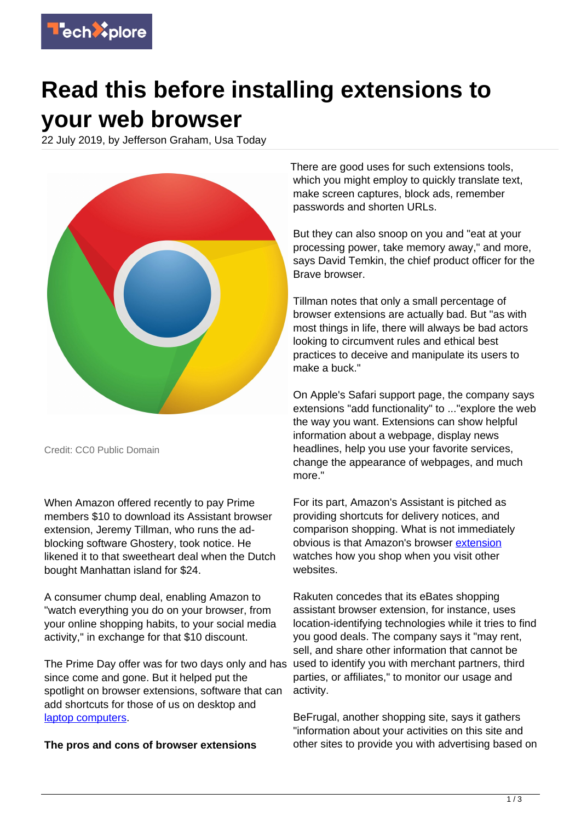## **Tech**<sup>2</sup>plore

# **Read this before installing extensions to your web browser**

22 July 2019, by Jefferson Graham, Usa Today



Credit: CC0 Public Domain

When Amazon offered recently to pay Prime members \$10 to download its Assistant browser extension, Jeremy Tillman, who runs the adblocking software Ghostery, took notice. He likened it to that sweetheart deal when the Dutch bought Manhattan island for \$24.

A consumer chump deal, enabling Amazon to "watch everything you do on your browser, from your online shopping habits, to your social media activity," in exchange for that \$10 discount.

The Prime Day offer was for two days only and has used to identify you with merchant partners, third since come and gone. But it helped put the spotlight on browser extensions, software that can add shortcuts for those of us on desktop and [laptop computers.](https://techxplore.com/tags/laptop+computers/)

### **The pros and cons of browser extensions**

There are good uses for such extensions tools. which you might employ to quickly translate text, make screen captures, block ads, remember passwords and shorten URLs.

But they can also snoop on you and "eat at your processing power, take memory away," and more, says David Temkin, the chief product officer for the Brave browser.

Tillman notes that only a small percentage of browser extensions are actually bad. But "as with most things in life, there will always be bad actors looking to circumvent rules and ethical best practices to deceive and manipulate its users to make a buck."

On Apple's Safari support page, the company says extensions "add functionality" to ..."explore the web the way you want. Extensions can show helpful information about a webpage, display news headlines, help you use your favorite services, change the appearance of webpages, and much more."

For its part, Amazon's Assistant is pitched as providing shortcuts for delivery notices, and comparison shopping. What is not immediately obvious is that Amazon's browser [extension](https://techxplore.com/tags/extension/) watches how you shop when you visit other websites.

Rakuten concedes that its eBates shopping assistant browser extension, for instance, uses location-identifying technologies while it tries to find you good deals. The company says it "may rent, sell, and share other information that cannot be parties, or affiliates," to monitor our usage and activity.

BeFrugal, another shopping site, says it gathers "information about your activities on this site and other sites to provide you with advertising based on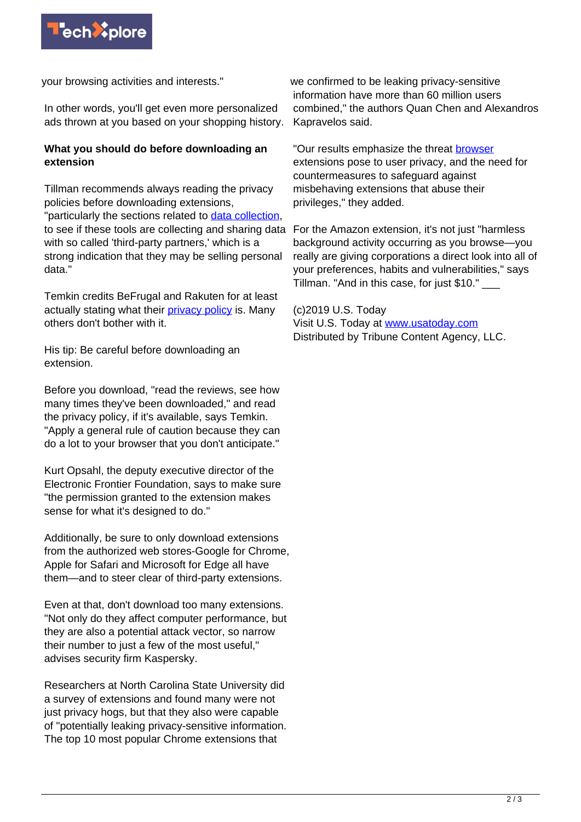

your browsing activities and interests."

In other words, you'll get even more personalized ads thrown at you based on your shopping history.

#### **What you should do before downloading an extension**

Tillman recommends always reading the privacy policies before downloading extensions, "particularly the sections related to [data collection](https://techxplore.com/tags/data+collection/), to see if these tools are collecting and sharing data with so called 'third-party partners,' which is a strong indication that they may be selling personal data."

Temkin credits BeFrugal and Rakuten for at least actually stating what their [privacy policy](https://techxplore.com/tags/privacy+policy/) is. Many others don't bother with it.

His tip: Be careful before downloading an extension.

Before you download, "read the reviews, see how many times they've been downloaded," and read the privacy policy, if it's available, says Temkin. "Apply a general rule of caution because they can do a lot to your browser that you don't anticipate."

Kurt Opsahl, the deputy executive director of the Electronic Frontier Foundation, says to make sure "the permission granted to the extension makes sense for what it's designed to do."

Additionally, be sure to only download extensions from the authorized web stores-Google for Chrome, Apple for Safari and Microsoft for Edge all have them—and to steer clear of third-party extensions.

Even at that, don't download too many extensions. "Not only do they affect computer performance, but they are also a potential attack vector, so narrow their number to just a few of the most useful," advises security firm Kaspersky.

Researchers at North Carolina State University did a survey of extensions and found many were not just privacy hogs, but that they also were capable of "potentially leaking privacy-sensitive information. The top 10 most popular Chrome extensions that

we confirmed to be leaking privacy-sensitive information have more than 60 million users combined," the authors Quan Chen and Alexandros Kapravelos said.

"Our results emphasize the threat [browser](https://techxplore.com/tags/browser/) extensions pose to user privacy, and the need for countermeasures to safeguard against misbehaving extensions that abuse their privileges," they added.

For the Amazon extension, it's not just "harmless background activity occurring as you browse—you really are giving corporations a direct look into all of your preferences, habits and vulnerabilities," says Tillman. "And in this case, for just \$10."

#### (c)2019 U.S. Today Visit U.S. Today at [www.usatoday.com](http://www.usatoday.com) Distributed by Tribune Content Agency, LLC.